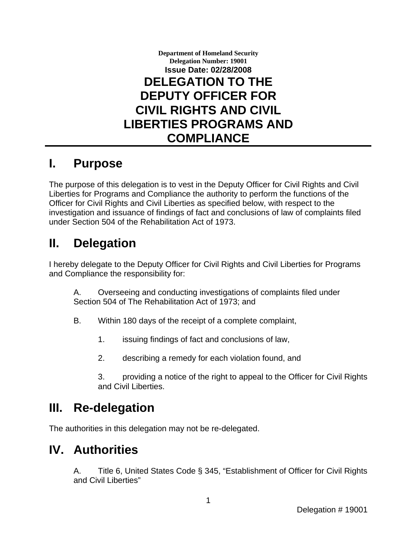

#### **I. Purpose**

The purpose of this delegation is to vest in the Deputy Officer for Civil Rights and Civil Liberties for Programs and Compliance the authority to perform the functions of the Officer for Civil Rights and Civil Liberties as specified below, with respect to the investigation and issuance of findings of fact and conclusions of law of complaints filed under Section 504 of the Rehabilitation Act of 1973.

# **II. Delegation**

I hereby delegate to the Deputy Officer for Civil Rights and Civil Liberties for Programs and Compliance the responsibility for:

A. Overseeing and conducting investigations of complaints filed under Section 504 of The Rehabilitation Act of 1973; and

- B. Within 180 days of the receipt of a complete complaint,
	- 1. issuing findings of fact and conclusions of law,
	- 2. describing a remedy for each violation found, and
	- 3. providing a notice of the right to appeal to the Officer for Civil Rights and Civil Liberties.

## **III. Re-delegation**

The authorities in this delegation may not be re-delegated.

### **IV. Authorities**

A. Title 6, United States Code § 345, "Establishment of Officer for Civil Rights and Civil Liberties"